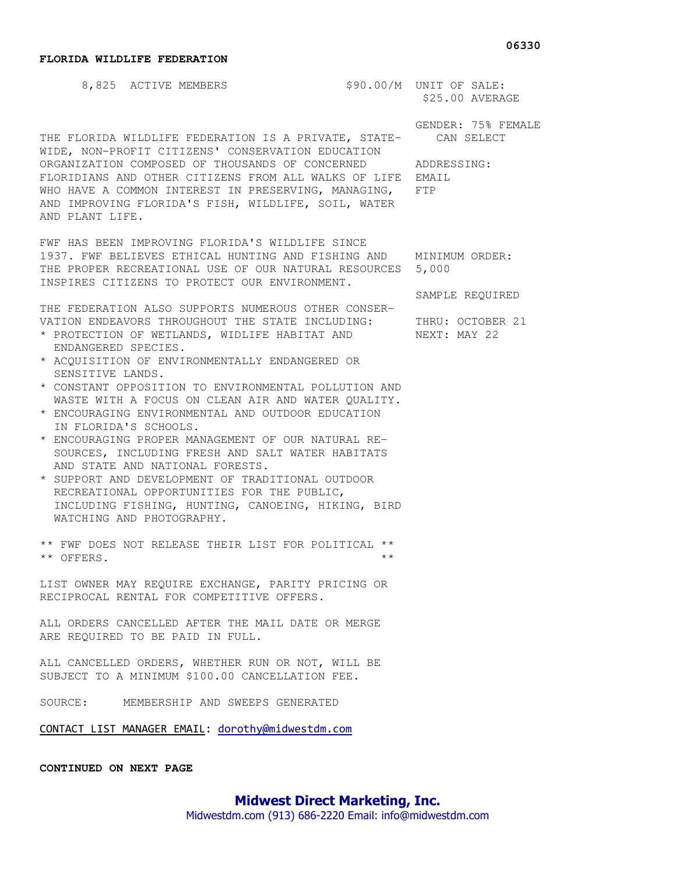## **FLORIDA WILDLIFE FEDERATION**

AND PLANT LIFE.

8,825 ACTIVE MEMBERS \$90.00/M UNIT OF SALE: \$25.00 AVERAGE

THE FLORIDA WILDLIFE FEDERATION IS A PRIVATE, STATE- CAN SELECT WIDE, NON-PROFIT CITIZENS' CONSERVATION EDUCATION ORGANIZATION COMPOSED OF THOUSANDS OF CONCERNED ADDRESSING: FLORIDIANS AND OTHER CITIZENS FROM ALL WALKS OF LIFE EMAIL WHO HAVE A COMMON INTEREST IN PRESERVING, MANAGING, FTP

FWF HAS BEEN IMPROVING FLORIDA'S WILDLIFE SINCE 1937. FWF BELIEVES ETHICAL HUNTING AND FISHING AND MINIMUM ORDER: THE PROPER RECREATIONAL USE OF OUR NATURAL RESOURCES 5,000 INSPIRES CITIZENS TO PROTECT OUR ENVIRONMENT.

AND IMPROVING FLORIDA'S FISH, WILDLIFE, SOIL, WATER

THE FEDERATION ALSO SUPPORTS NUMEROUS OTHER CONSER-VATION ENDEAVORS THROUGHOUT THE STATE INCLUDING: THRU: OCTOBER 21

- \* PROTECTION OF WETLANDS, WIDLIFE HABITAT AND MEXT: MAY 22 ENDANGERED SPECIES.
- \* ACQUISITION OF ENVIRONMENTALLY ENDANGERED OR SENSITIVE LANDS.
- \* CONSTANT OPPOSITION TO ENVIRONMENTAL POLLUTION AND WASTE WITH A FOCUS ON CLEAN AIR AND WATER QUALITY.
- \* ENCOURAGING ENVIRONMENTAL AND OUTDOOR EDUCATION IN FLORIDA'S SCHOOLS.
- \* ENCOURAGING PROPER MANAGEMENT OF OUR NATURAL RE- SOURCES, INCLUDING FRESH AND SALT WATER HABITATS AND STATE AND NATIONAL FORESTS.
- \* SUPPORT AND DEVELOPMENT OF TRADITIONAL OUTDOOR RECREATIONAL OPPORTUNITIES FOR THE PUBLIC, INCLUDING FISHING, HUNTING, CANOEING, HIKING, BIRD WATCHING AND PHOTOGRAPHY.

\*\* FWF DOES NOT RELEASE THEIR LIST FOR POLITICAL \*\* \*\* OFFERS. \*\*

LIST OWNER MAY REQUIRE EXCHANGE, PARITY PRICING OR RECIPROCAL RENTAL FOR COMPETITIVE OFFERS.

ALL ORDERS CANCELLED AFTER THE MAIL DATE OR MERGE ARE REQUIRED TO BE PAID IN FULL.

ALL CANCELLED ORDERS, WHETHER RUN OR NOT, WILL BE SUBJECT TO A MINIMUM \$100.00 CANCELLATION FEE.

SOURCE: MEMBERSHIP AND SWEEPS GENERATED

CONTACT LIST MANAGER EMAIL: dorothy@midwestdm.com

**CONTINUED ON NEXT PAGE** 

## **06330**

GENDER: 75% FEMALE

SAMPLE REQUIRED

**Midwest Direct Marketing, Inc.** 

Midwestdm.com (913) 686-2220 Email: info@midwestdm.com